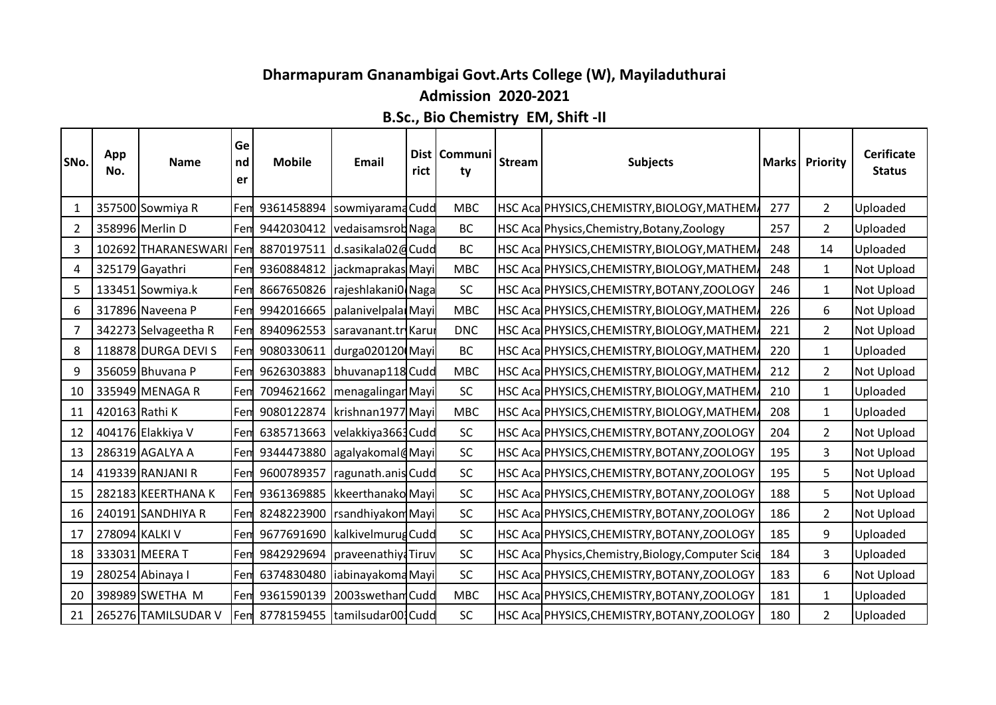## **Dharmapuram Gnanambigai Govt.Arts College (W), Mayiladuthurai**

## **Admission 2020-2021**

## **B.Sc., Bio Chemistry EM, Shift -II**

| SNo.           | App<br>No.     | <b>Name</b>             | Ge<br>nd<br>er | <b>Mobile</b>                        | Email                             | rict | Dist   Communi<br>ty | <b>Stream</b> | <b>Subjects</b>                                    | <b>Marks</b> | Priority       | <b>Cerificate</b><br><b>Status</b> |
|----------------|----------------|-------------------------|----------------|--------------------------------------|-----------------------------------|------|----------------------|---------------|----------------------------------------------------|--------------|----------------|------------------------------------|
| 1              |                | 357500 Sowmiya R        | Fem            |                                      | 9361458894  sowmiyaramaCudd       |      | <b>MBC</b>           |               | HSC Aca PHYSICS, CHEMISTRY, BIOLOGY, MATHEM.       | 277          | $\mathbf{2}$   | Uploaded                           |
| $\overline{2}$ |                | 358996 Merlin D         | Fem            |                                      | 9442030412 vedaisamsrod Naga      |      | <b>BC</b>            |               | HSC Aca Physics, Chemistry, Botany, Zoology        | 257          | 2              | Uploaded                           |
| 3              |                | 102692 THARANESWARI Fem |                |                                      | 8870197511 d.sasikala02@Cudd      |      | <b>BC</b>            |               | HSC Aca PHYSICS, CHEMISTRY, BIOLOGY, MATHEM        | 248          | 14             | Uploaded                           |
| 4              |                | 325179 Gayathri         |                | Fem 9360884812 jackmaprakas Mayi     |                                   |      | <b>MBC</b>           |               | HSC Aca PHYSICS, CHEMISTRY, BIOLOGY, MATHEM.       | 248          | $\mathbf{1}$   | Not Upload                         |
| 5              |                | 133451 Sowmiya.k        | Fem            |                                      | 8667650826   rajeshlakani0   Naga |      | SC                   |               | HSC Aca PHYSICS, CHEMISTRY, BOTANY, ZOOLOGY        | 246          | $\mathbf{1}$   | Not Upload                         |
| 6              |                | 317896 Naveena P        |                | Fem 9942016665   palanivel pala Mayi |                                   |      | <b>MBC</b>           |               | HSC Aca PHYSICS, CHEMISTRY, BIOLOGY, MATHEM.       | 226          | 6              | Not Upload                         |
| 7              |                | 342273 Selvageetha R    | Fem            |                                      | 8940962553  saravanant.tr Karu    |      | <b>DNC</b>           |               | HSC Aca PHYSICS, CHEMISTRY, BIOLOGY, MATHEM,       | 221          | $\overline{2}$ | <b>Not Upload</b>                  |
| 8              |                | 118878 DURGA DEVI S     | Fem            |                                      | 9080330611 durga020120 Mayi       |      | <b>BC</b>            |               | HSC Aca PHYSICS, CHEMISTRY, BIOLOGY, MATHEM,       | 220          | 1              | Uploaded                           |
| 9              |                | 356059 Bhuvana P        |                | Fen 9626303883 bhuvanap118 Cudd      |                                   |      | <b>MBC</b>           |               | HSC Aca PHYSICS, CHEMISTRY, BIOLOGY, MATHEM.       | 212          | $\overline{2}$ | <b>Not Upload</b>                  |
| 10             |                | 335949 MENAGA R         | Fem            |                                      | 7094621662   menagalingar Mayi    |      | SC                   |               | HSC Aca PHYSICS, CHEMISTRY, BIOLOGY, MATHEM        | 210          | $\mathbf{1}$   | Uploaded                           |
| -11            | 420163 Rathi K |                         | Fem            |                                      | 9080122874   krishnan1977 Mayi    |      | <b>MBC</b>           |               | HSC Aca PHYSICS, CHEMISTRY, BIOLOGY, MATHEM        | 208          | $\mathbf{1}$   | Uploaded                           |
| 12             |                | 404176 Elakkiya V       | Fem            |                                      | 6385713663 velakkiya3663 Cudd     |      | SC                   |               | HSC Aca PHYSICS, CHEMISTRY, BOTANY, ZOOLOGY        | 204          | $\overline{2}$ | <b>Not Upload</b>                  |
| 13             |                | 286319 AGALYA A         |                | Fem 9344473880 agalyakomal@Mayi      |                                   |      | SC                   |               | HSC Aca PHYSICS, CHEMISTRY, BOTANY, ZOOLOGY        | 195          | 3              | <b>Not Upload</b>                  |
| 14             |                | 419339 RANJANI R        | Fem            | 9600789357                           | ragunath.anis Cudd                |      | SC                   |               | HSC Aca PHYSICS, CHEMISTRY, BOTANY, ZOOLOGY        | 195          | 5              | <b>Not Upload</b>                  |
| 15             |                | 282183 KEERTHANA K      | Fem            |                                      | 9361369885   kkeerthanako Mayi    |      | <b>SC</b>            |               | HSC Aca PHYSICS, CHEMISTRY, BOTANY, ZOOLOGY        | 188          | 5              | Not Upload                         |
| 16             |                | 240191 SANDHIYA R       | Fem            |                                      | 8248223900   rsandhiyakom Mayi    |      | SC                   |               | HSC Aca PHYSICS, CHEMISTRY, BOTANY, ZOOLOGY        | 186          | 2              | Not Upload                         |
| 17             |                | 278094 KALKI V          |                | Fem 9677691690 kalkivelmurug Cudd    |                                   |      | SC                   |               | HSC Aca PHYSICS, CHEMISTRY, BOTANY, ZOOLOGY        | 185          | 9              | Uploaded                           |
| 18             |                | 333031 MEERA T          | Fem            |                                      | 9842929694   praveenathiya Tiruv  |      | SC                   |               | HSC Aca Physics, Chemistry, Biology, Computer Scie | 184          | 3              | Uploaded                           |
| 19             |                | 280254 Abinaya I        | Fem            |                                      | 6374830480 liabinayakoma Mayi     |      | SC                   |               | HSC Aca PHYSICS, CHEMISTRY, BOTANY, ZOOLOGY        | 183          | 6              | <b>Not Upload</b>                  |
| 20             |                | 398989 SWETHA M         | Fem            |                                      | 9361590139 2003swetham Cudd       |      | <b>MBC</b>           |               | HSC Aca PHYSICS, CHEMISTRY, BOTANY, ZOOLOGY        | 181          | $\mathbf{1}$   | Uploaded                           |
| 21             |                | 265276 TAMILSUDAR V     |                | Fen 8778159455 tamilsudar001Cudd     |                                   |      | SC                   |               | HSC Acal PHYSICS, CHEMISTRY, BOTANY, ZOOLOGY       | 180          | $\overline{2}$ | Uploaded                           |